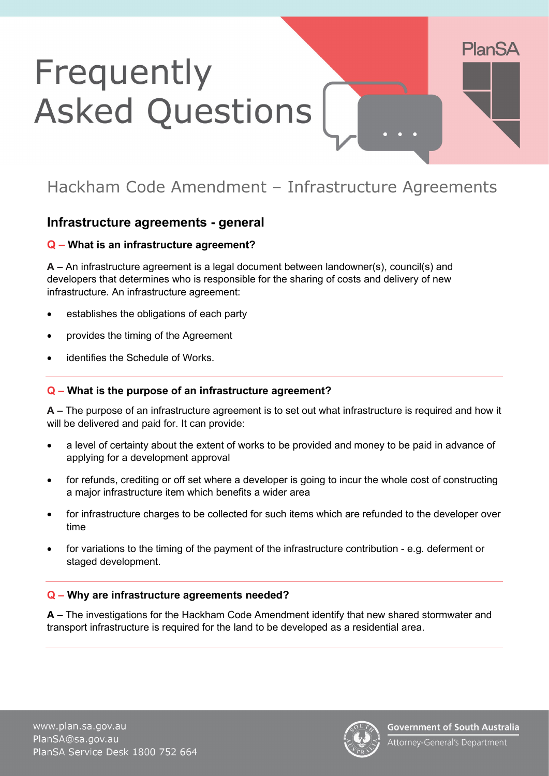# Frequently **Asked Questions**

## Hackham Code Amendment – Infrastructure Agreements

## **Infrastructure agreements - general**

## **Q – What is an infrastructure agreement?**

**A –** An infrastructure agreement is a legal document between landowner(s), council(s) and developers that determines who is responsible for the sharing of costs and delivery of new infrastructure. An infrastructure agreement:

- establishes the obligations of each party
- provides the timing of the Agreement
- identifies the Schedule of Works.

## **Q – What is the purpose of an infrastructure agreement?**

**A –** The purpose of an infrastructure agreement is to set out what infrastructure is required and how it will be delivered and paid for. It can provide:

- a level of certainty about the extent of works to be provided and money to be paid in advance of applying for a development approval
- for refunds, crediting or off set where a developer is going to incur the whole cost of constructing a major infrastructure item which benefits a wider area
- for infrastructure charges to be collected for such items which are refunded to the developer over time
- for variations to the timing of the payment of the infrastructure contribution e.g. deferment or staged development.

## **Q – Why are infrastructure agreements needed?**

**A –** The investigations for the Hackham Code Amendment identify that new shared stormwater and transport infrastructure is required for the land to be developed as a residential area.



**PlanSA**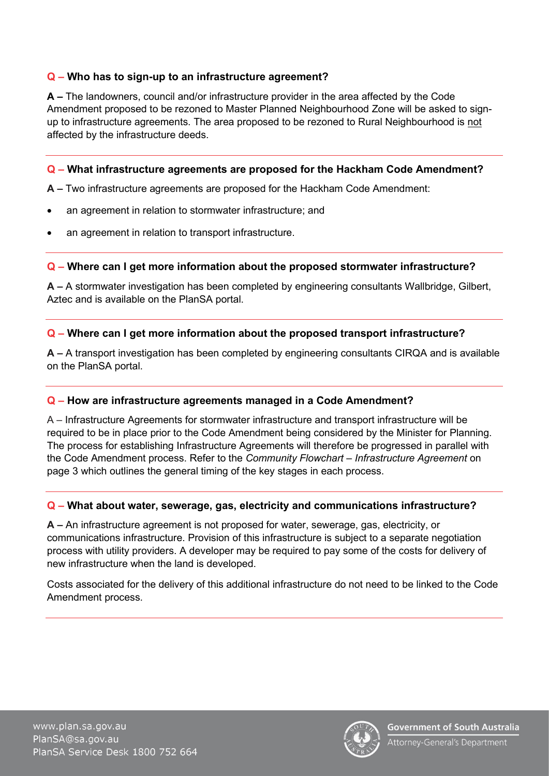## **Q – Who has to sign-up to an infrastructure agreement?**

**A –** The landowners, council and/or infrastructure provider in the area affected by the Code Amendment proposed to be rezoned to Master Planned Neighbourhood Zone will be asked to signup to infrastructure agreements. The area proposed to be rezoned to Rural Neighbourhood is not affected by the infrastructure deeds.

#### **Q – What infrastructure agreements are proposed for the Hackham Code Amendment?**

**A –** Two infrastructure agreements are proposed for the Hackham Code Amendment:

- an agreement in relation to stormwater infrastructure; and
- an agreement in relation to transport infrastructure.

## **Q – Where can I get more information about the proposed stormwater infrastructure?**

**A –** A stormwater investigation has been completed by engineering consultants Wallbridge, Gilbert, Aztec and is available on the PlanSA portal.

## **Q – Where can I get more information about the proposed transport infrastructure?**

**A –** A transport investigation has been completed by engineering consultants CIRQA and is available on the PlanSA portal.

## **Q – How are infrastructure agreements managed in a Code Amendment?**

A – Infrastructure Agreements for stormwater infrastructure and transport infrastructure will be required to be in place prior to the Code Amendment being considered by the Minister for Planning. The process for establishing Infrastructure Agreements will therefore be progressed in parallel with the Code Amendment process. Refer to the *Community Flowchart – Infrastructure Agreement* on page 3 which outlines the general timing of the key stages in each process.

## **Q – What about water, sewerage, gas, electricity and communications infrastructure?**

**A –** An infrastructure agreement is not proposed for water, sewerage, gas, electricity, or communications infrastructure. Provision of this infrastructure is subject to a separate negotiation process with utility providers. A developer may be required to pay some of the costs for delivery of new infrastructure when the land is developed.

Costs associated for the delivery of this additional infrastructure do not need to be linked to the Code Amendment process.



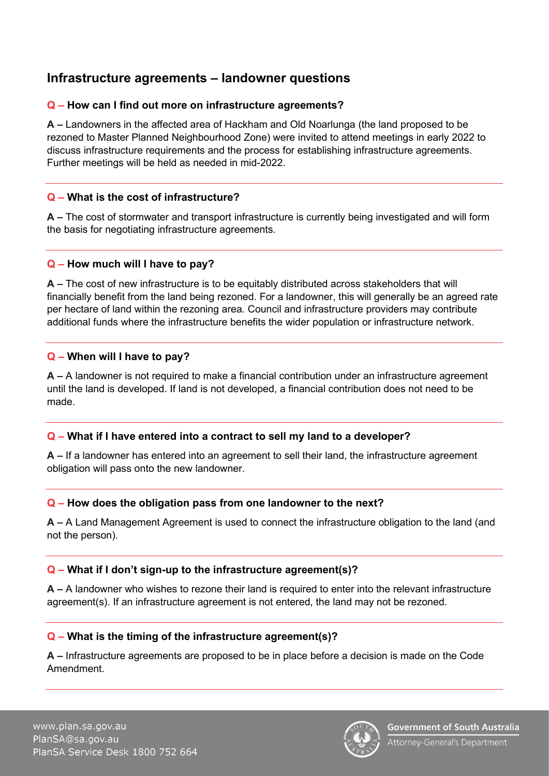## **Infrastructure agreements – landowner questions**

## **Q – How can I find out more on infrastructure agreements?**

**A –** Landowners in the affected area of Hackham and Old Noarlunga (the land proposed to be rezoned to Master Planned Neighbourhood Zone) were invited to attend meetings in early 2022 to discuss infrastructure requirements and the process for establishing infrastructure agreements. Further meetings will be held as needed in mid-2022.

## **Q – What is the cost of infrastructure?**

**A –** The cost of stormwater and transport infrastructure is currently being investigated and will form the basis for negotiating infrastructure agreements.

## **Q – How much will I have to pay?**

**A –** The cost of new infrastructure is to be equitably distributed across stakeholders that will financially benefit from the land being rezoned. For a landowner, this will generally be an agreed rate per hectare of land within the rezoning area. Council and infrastructure providers may contribute additional funds where the infrastructure benefits the wider population or infrastructure network.

## **Q – When will I have to pay?**

**A –** A landowner is not required to make a financial contribution under an infrastructure agreement until the land is developed. If land is not developed, a financial contribution does not need to be made.

## **Q – What if I have entered into a contract to sell my land to a developer?**

**A –** If a landowner has entered into an agreement to sell their land, the infrastructure agreement obligation will pass onto the new landowner.

## **Q – How does the obligation pass from one landowner to the next?**

**A –** A Land Management Agreement is used to connect the infrastructure obligation to the land (and not the person).

## **Q – What if I don't sign-up to the infrastructure agreement(s)?**

**A –** A landowner who wishes to rezone their land is required to enter into the relevant infrastructure agreement(s). If an infrastructure agreement is not entered, the land may not be rezoned.

## **Q – What is the timing of the infrastructure agreement(s)?**

**A –** Infrastructure agreements are proposed to be in place before a decision is made on the Code Amendment.